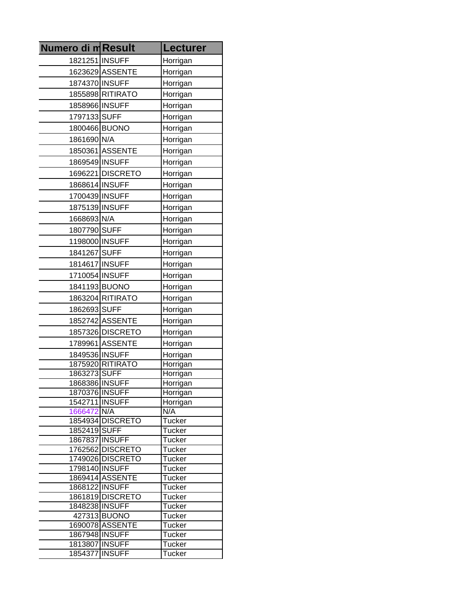| <b>Numero di mResult</b>      |                                 | <b>Lecturer</b>                |
|-------------------------------|---------------------------------|--------------------------------|
| 1821251 INSUFF                |                                 | Horrigan                       |
|                               | 1623629 ASSENTE                 | Horrigan                       |
| 1874370 INSUFF                |                                 | Horrigan                       |
|                               | 1855898 RITIRATO                | Horrigan                       |
| 1858966 INSUFF                |                                 | Horrigan                       |
| 1797133 SUFF                  |                                 | Horrigan                       |
| 1800466 BUONO                 |                                 | Horrigan                       |
| 1861690 N/A                   |                                 | Horrigan                       |
|                               | 1850361 ASSENTE                 | Horrigan                       |
| 1869549 INSUFF                |                                 | Horrigan                       |
|                               | 1696221 DISCRETO                | Horrigan                       |
| 1868614 INSUFF                |                                 | Horrigan                       |
| 1700439 INSUFF                |                                 | Horrigan                       |
| 1875139 INSUFF                |                                 | Horrigan                       |
| 1668693 N/A                   |                                 | Horrigan                       |
|                               |                                 |                                |
| 1807790 SUFF                  |                                 | Horrigan                       |
| 1198000 INSUFF                |                                 | Horrigan                       |
| 1841267 SUFF                  |                                 | Horrigan                       |
| 1814617 INSUFF                |                                 | Horrigan                       |
| 1710054 INSUFF                |                                 | Horrigan                       |
| 1841193 BUONO                 |                                 | Horrigan                       |
|                               | 1863204 RITIRATO                | Horrigan                       |
| 1862693 SUFF                  |                                 | Horrigan                       |
|                               | 1852742 ASSENTE                 | Horrigan                       |
|                               | 1857326 DISCRETO                | Horrigan                       |
|                               | 1789961 ASSENTE                 | Horrigan                       |
| 1849536 INSUFF                |                                 | Horrigan                       |
|                               | 1875920 RITIRATO                | Horrigan                       |
| 1863273SUFF<br>1868386 INSUFF |                                 | Horrigan<br>Horrigan           |
| 1870376 INSUFF                |                                 | Horrigan                       |
| 1542711 INSUFF                |                                 | Horrigan                       |
| 1666472 N/A                   |                                 | N/A                            |
|                               | 1854934 DISCRETO                | <b>Tucker</b>                  |
| 1852419 SUFF                  |                                 | <b>Tucker</b>                  |
| 1867837 INSUFF                | 1762562 DISCRETO                | <b>Tucker</b>                  |
|                               | 1749026 DISCRETO                | <b>Tucker</b><br><b>Tucker</b> |
| 1798140 INSUFF                |                                 | <b>Tucker</b>                  |
|                               | 1869414 ASSENTE                 | <b>Tucker</b>                  |
| 1868122 INSUFF                |                                 | <b>Tucker</b>                  |
|                               | 1861819 DISCRETO                | <b>Tucker</b>                  |
| 1848238 INSUFF                |                                 | Tucker                         |
|                               | 427313 BUONO<br>1690078 ASSENTE | <b>Tucker</b><br><b>Tucker</b> |
| 1867948 INSUFF                |                                 | <b>Tucker</b>                  |
| 1813807 INSUFF                |                                 | <b>Tucker</b>                  |
| 1854377 INSUFF                |                                 | Tucker                         |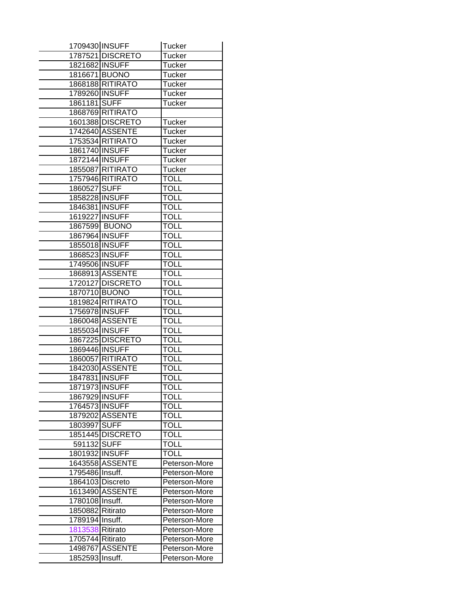| 1709430 INSUFF   |                  | Tucker        |
|------------------|------------------|---------------|
|                  | 1787521 DISCRETO | Tucker        |
| 1821682 INSUFF   |                  | <b>Tucker</b> |
| 1816671 BUONO    |                  | Tucker        |
|                  | 1868188 RITIRATO | Tucker        |
| 1789260 INSUFF   |                  | Tucker        |
| 1861181 SUFF     |                  | Tucker        |
|                  | 1868769 RITIRATO |               |
|                  | 1601388 DISCRETO | <b>Tucker</b> |
|                  | 1742640 ASSENTE  | <b>Tucker</b> |
|                  | 1753534 RITIRATO | <b>Tucker</b> |
| 1861740 INSUFF   |                  | Tucker        |
| 1872144 INSUFF   |                  | <b>Tucker</b> |
|                  | 1855087 RITIRATO | Tucker        |
|                  | 1757946 RITIRATO | <b>TOLL</b>   |
| 1860527          | <b>SUFF</b>      | <b>TOLL</b>   |
| 1858228 INSUFF   |                  | <b>TOLL</b>   |
| 1846381 INSUFF   |                  | <b>TOLL</b>   |
| 1619227 INSUFF   |                  | <b>TOLL</b>   |
|                  | 1867599 BUONO    | <b>TOLL</b>   |
| 1867964 INSUFF   |                  | <b>TOLL</b>   |
| 1855018 INSUFF   |                  | <b>TOLL</b>   |
| 1868523 INSUFF   |                  | <b>TOLL</b>   |
|                  |                  |               |
| 1749506 INSUFF   |                  | <b>TOLL</b>   |
|                  | 1868913 ASSENTE  | <b>TOLL</b>   |
|                  | 1720127 DISCRETO | <b>TOLL</b>   |
| 1870710 BUONO    |                  | <b>TOLL</b>   |
|                  | 1819824 RITIRATO | <b>TOLL</b>   |
| 1756978 INSUFF   |                  | <b>TOLL</b>   |
|                  | 1860048 ASSENTE  | <b>TOLL</b>   |
| 1855034 INSUFF   |                  | <b>TOLL</b>   |
|                  | 1867225 DISCRETO | <b>TOLL</b>   |
| 1869446 INSUFF   |                  | <b>TOLL</b>   |
|                  | 1860057 RITIRATO | <b>TOLL</b>   |
|                  | 1842030 ASSENTE  | <b>TOLL</b>   |
| 1847831 INSUFF   |                  | <b>TOLL</b>   |
| 1871973 INSUFF   |                  | TOLL          |
| 1867929 INSUFF   |                  | TOLL          |
| 1764573 INSUFF   |                  | <b>TOLL</b>   |
|                  | 1879202 ASSENTE  | <b>TOLL</b>   |
| 1803997 SUFF     |                  | <b>TOLL</b>   |
|                  | 1851445 DISCRETO | <b>TOLL</b>   |
| 591132 SUFF      |                  | <b>TOLL</b>   |
| 1801932 INSUFF   |                  | <b>TOLL</b>   |
|                  | 1643558 ASSENTE  | Peterson-More |
| 1795486 Insuff.  |                  | Peterson-More |
| 1864103 Discreto |                  | Peterson-More |
|                  | 1613490 ASSENTE  | Peterson-More |
| 1780108 Insuff.  |                  | Peterson-More |
| 1850882 Ritirato |                  | Peterson-More |
| 1789194 Insuff.  |                  | Peterson-More |
| 1813538 Ritirato |                  | Peterson-More |
| 1705744 Ritirato |                  | Peterson-More |
|                  | 1498767 ASSENTE  | Peterson-More |
| 1852593 Insuff.  |                  | Peterson-More |